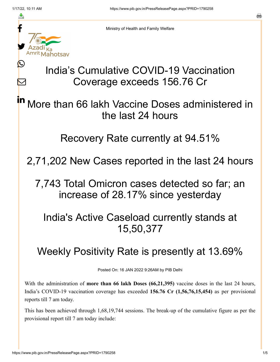≛

Ŀ

 $\bm{\nabla}$ 



Ministry of Health and Family Welfare

## India's Cumulative COVID-19 Vaccination Coverage exceeds 156.76 Cr

More than 66 lakh Vaccine Doses administered in the last 24 hours in

Recovery Rate currently at 94.51%

2,71,202 New Cases reported in the last 24 hours

7,743 Total Omicron cases detected so far; an increase of 28.17% since yesterday

India's Active Caseload currently stands at 15,50,377

## Weekly Positivity Rate is presently at 13.69%

Posted On: 16 JAN 2022 9:26AM by PIB Delhi

With the administration of **more than 66 lakh Doses (66,21,395)** vaccine doses in the last 24 hours, India's COVID-19 vaccination coverage has exceeded **156.76 Cr (1,56,76,15,454)** as per provisional reports till 7 am today.

This has been achieved through 1,68,19,744 sessions. The break-up of the cumulative figure as per the provisional report till 7 am today include: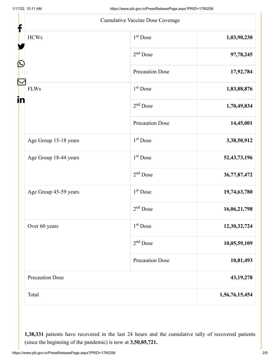|                        | Cumulative Vaccine Dose Coverage |                 |
|------------------------|----------------------------------|-----------------|
| <b>HCWs</b>            | 1 <sup>st</sup> Dose             | 1,03,90,230     |
|                        | $2nd$ Dose                       | 97,78,245       |
|                        | <b>Precaution Dose</b>           | 17,92,784       |
| <b>FLWs</b>            | $1st$ Dose                       | 1,83,88,876     |
|                        | $2nd$ Dose                       | 1,70,49,834     |
|                        | <b>Precaution Dose</b>           | 14,45,001       |
| Age Group 15-18 years  | 1 <sup>st</sup> Dose             | 3,38,50,912     |
| Age Group 18-44 years  | $1st$ Dose                       | 52, 43, 73, 196 |
|                        | $2nd$ Dose                       | 36,77,87,472    |
| Age Group 45-59 years  | $1st$ Dose                       | 19,74,63,780    |
|                        | $2nd$ Dose                       | 16,06,21,798    |
| Over 60 years          | 1 <sup>st</sup> Dose             | 12,30,32,724    |
|                        | $2nd$ Dose                       | 10,05,59,109    |
|                        | <b>Precaution Dose</b>           | 10,81,493       |
| <b>Precaution Dose</b> |                                  | 43, 19, 278     |
| Total                  |                                  | 1,56,76,15,454  |

**1,38,331** patients have recovered in the last 24 hours and the cumulative tally of recovered patients (since the beginning of the pandemic) is now at **3,50,85,721.**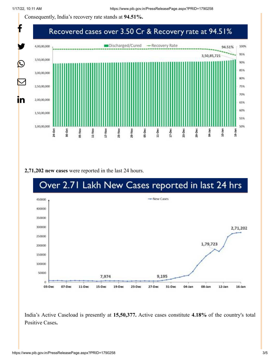Consequently, India's recovery rate stands at **94.51%.**



**2,71,202 new cases** were reported in the last 24 hours.



India's Active Caseload is presently at **15,50,377.** Active cases constitute **4.18%** of the country's total Positive Cases**.**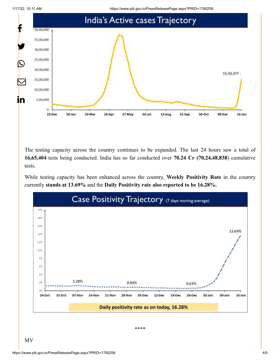1/17/22, 10:11 AM https://www.pib.gov.in/PressReleasePage.aspx?PRID=1790258



The testing capacity across the country continues to be expanded. The last 24 hours saw a total of **16,65,404** tests being conducted. India has so far conducted over **70.24 Cr (70,24,48,838**) cumulative tests.

While testing capacity has been enhanced across the country, **Weekly Positivity Rate** in the country currently **stands at 13.69%** and the **Daily Positivity rate also reported to be 16.28%.**



\*\*\*\*